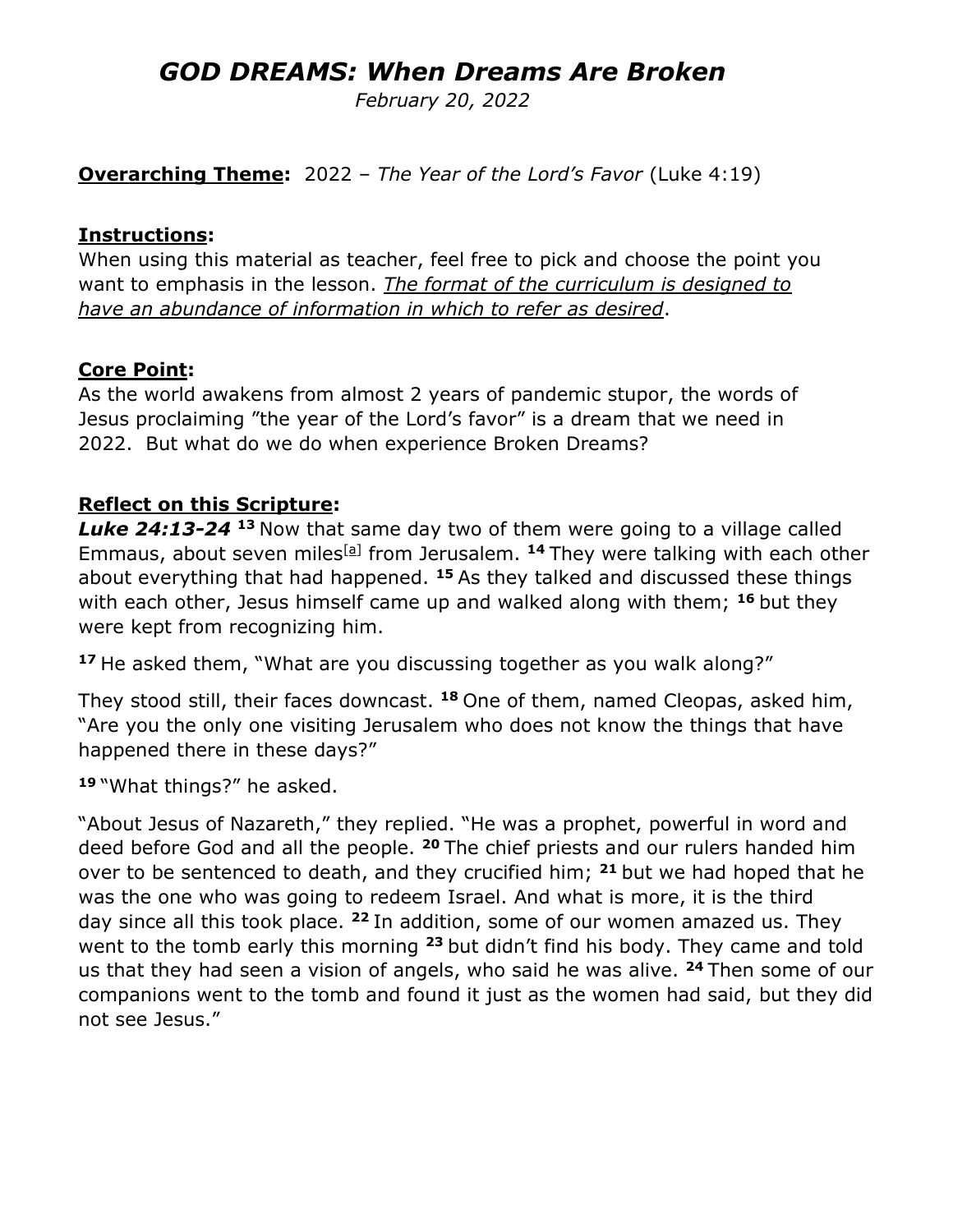# *GOD DREAMS: When Dreams Are Broken*

*February 20, 2022*

**Overarching Theme:** 2022 – *The Year of the Lord's Favor* (Luke 4:19)

#### **Instructions:**

When using this material as teacher, feel free to pick and choose the point you want to emphasis in the lesson. *The format of the curriculum is designed to have an abundance of information in which to refer as desired*.

#### **Core Point:**

As the world awakens from almost 2 years of pandemic stupor, the words of Jesus proclaiming "the year of the Lord's favor" is a dream that we need in 2022. But what do we do when experience Broken Dreams?

#### **Reflect on this Scripture:**

*Luke 24:13-24* **<sup>13</sup>** Now that same day two of them were going to a village called Emmaus, about seven miles<sup>[\[a\]](https://www.biblegateway.com/passage/?search=Luke24:13-24&version=NRSV;NIV;CEB;MSG;VOICE#fen-NIV-26005a)</sup> from Jerusalem. <sup>14</sup> They were talking with each other about everything that had happened. **<sup>15</sup>** As they talked and discussed these things with each other, Jesus himself came up and walked along with them; **<sup>16</sup>** but they were kept from recognizing him.

**<sup>17</sup>** He asked them, "What are you discussing together as you walk along?"

They stood still, their faces downcast. **<sup>18</sup>** One of them, named Cleopas, asked him, "Are you the only one visiting Jerusalem who does not know the things that have happened there in these days?"

**<sup>19</sup>** "What things?" he asked.

"About Jesus of Nazareth," they replied. "He was a prophet, powerful in word and deed before God and all the people. **<sup>20</sup>** The chief priests and our rulers handed him over to be sentenced to death, and they crucified him; **<sup>21</sup>** but we had hoped that he was the one who was going to redeem Israel. And what is more, it is the third day since all this took place. **<sup>22</sup>** In addition, some of our women amazed us. They went to the tomb early this morning **<sup>23</sup>** but didn't find his body. They came and told us that they had seen a vision of angels, who said he was alive. **<sup>24</sup>** Then some of our companions went to the tomb and found it just as the women had said, but they did not see Jesus."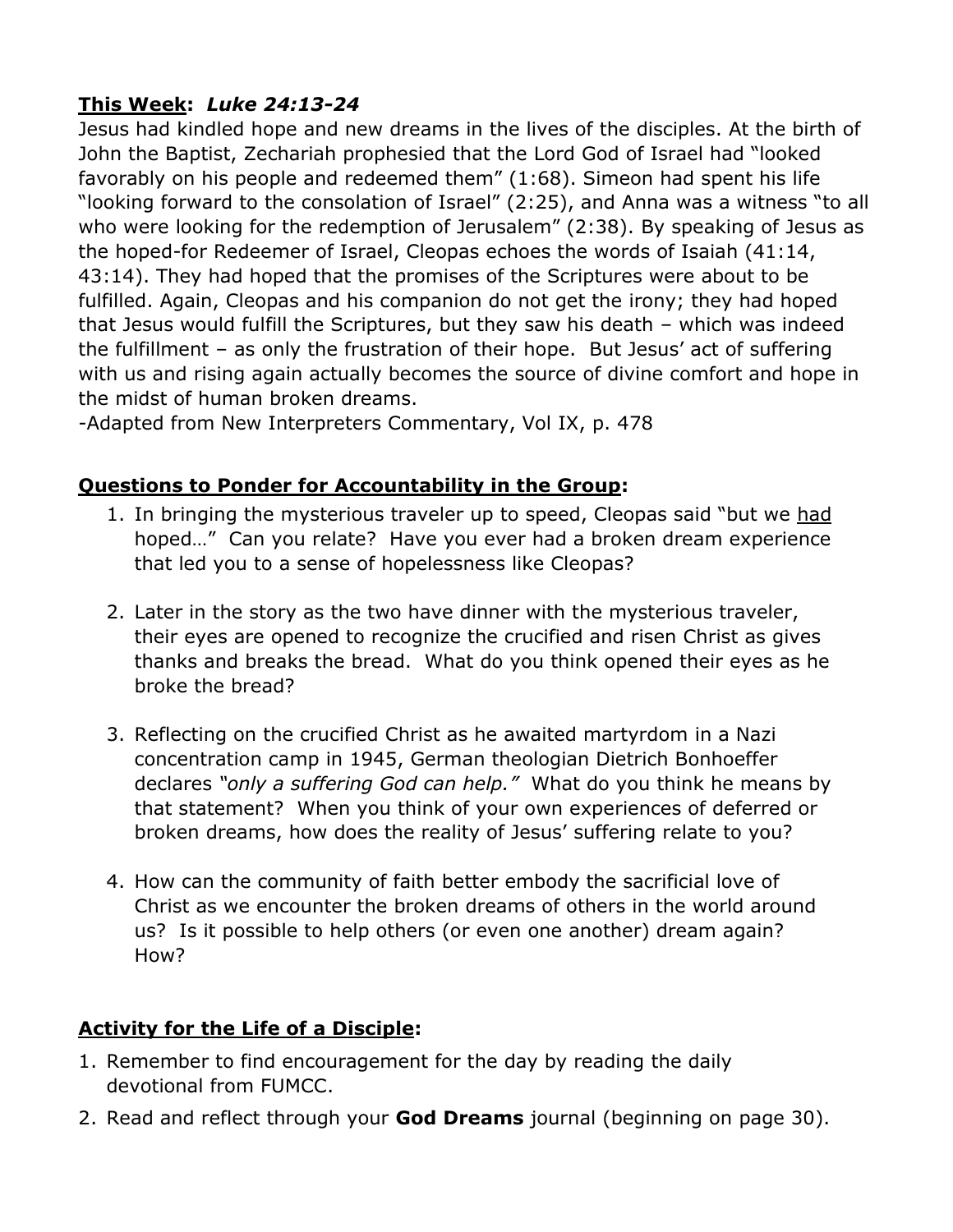## **This Week:** *Luke 24:13-24*

Jesus had kindled hope and new dreams in the lives of the disciples. At the birth of John the Baptist, Zechariah prophesied that the Lord God of Israel had "looked favorably on his people and redeemed them" (1:68). Simeon had spent his life "looking forward to the consolation of Israel" (2:25), and Anna was a witness "to all who were looking for the redemption of Jerusalem" (2:38). By speaking of Jesus as the hoped-for Redeemer of Israel, Cleopas echoes the words of Isaiah (41:14, 43:14). They had hoped that the promises of the Scriptures were about to be fulfilled. Again, Cleopas and his companion do not get the irony; they had hoped that Jesus would fulfill the Scriptures, but they saw his death – which was indeed the fulfillment – as only the frustration of their hope. But Jesus' act of suffering with us and rising again actually becomes the source of divine comfort and hope in the midst of human broken dreams.

-Adapted from New Interpreters Commentary, Vol IX, p. 478

#### **Questions to Ponder for Accountability in the Group:**

- 1. In bringing the mysterious traveler up to speed, Cleopas said "but we had hoped…" Can you relate? Have you ever had a broken dream experience that led you to a sense of hopelessness like Cleopas?
- 2. Later in the story as the two have dinner with the mysterious traveler, their eyes are opened to recognize the crucified and risen Christ as gives thanks and breaks the bread. What do you think opened their eyes as he broke the bread?
- 3. Reflecting on the crucified Christ as he awaited martyrdom in a Nazi concentration camp in 1945, German theologian Dietrich Bonhoeffer declares *"only a suffering God can help."* What do you think he means by that statement? When you think of your own experiences of deferred or broken dreams, how does the reality of Jesus' suffering relate to you?
- 4. How can the community of faith better embody the sacrificial love of Christ as we encounter the broken dreams of others in the world around us? Is it possible to help others (or even one another) dream again? How?

### **Activity for the Life of a Disciple:**

- 1. Remember to find encouragement for the day by reading the daily devotional from FUMCC.
- 2. Read and reflect through your **God Dreams** journal (beginning on page 30).